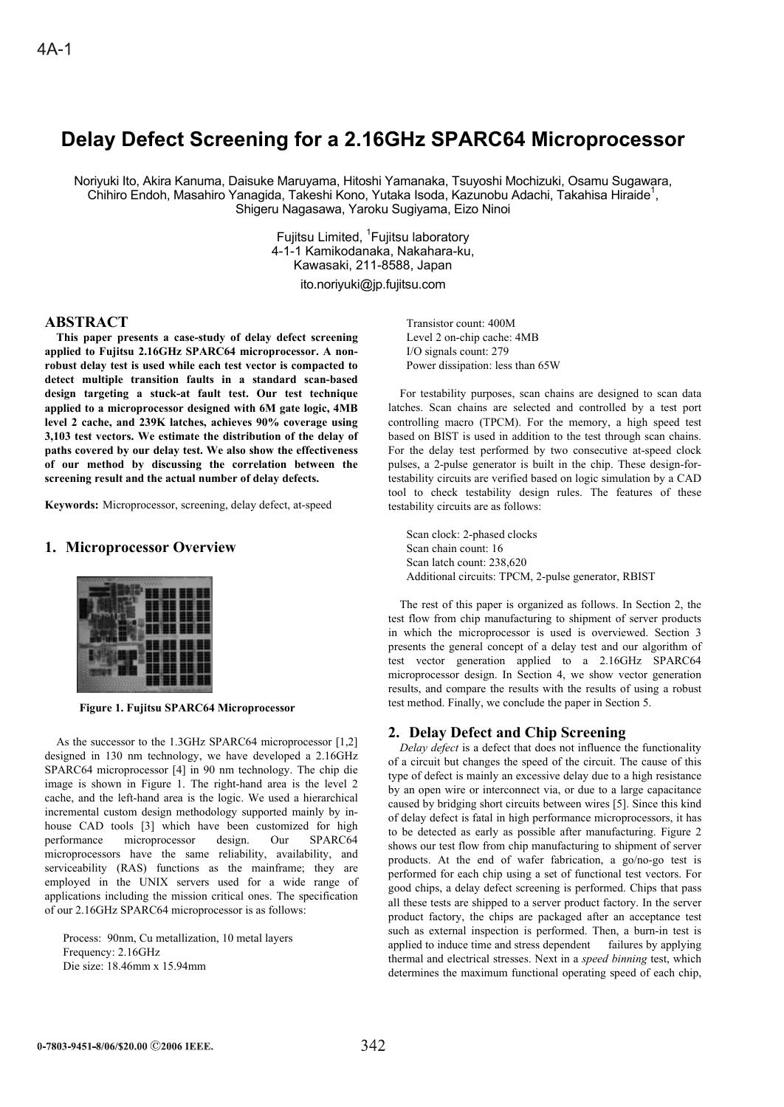# **Delay Defect Screening for a 2.16GHz SPARC64 Microprocessor**

Noriyuki Ito, Akira Kanuma, Daisuke Maruyama, Hitoshi Yamanaka, Tsuyoshi Mochizuki, Osamu Sugawara, Chihiro Endoh, Masahiro Yanagida, Takeshi Kono, Yutaka Isoda, Kazunobu Adachi, Takahisa Hiraide<sup>1</sup>, Shigeru Nagasawa, Yaroku Sugiyama, Eizo Ninoi

> Fujitsu Limited, <sup>1</sup>Fujitsu laboratory 4-1-1 Kamikodanaka, Nakahara-ku, Kawasaki, 211-8588, Japan ito.noriyuki@jp.fujitsu.com

# **ABSTRACT**

**This paper presents a case-study of delay defect screening applied to Fujitsu 2.16GHz SPARC64 microprocessor. A nonrobust delay test is used while each test vector is compacted to detect multiple transition faults in a standard scan-based design targeting a stuck-at fault test. Our test technique applied to a microprocessor designed with 6M gate logic, 4MB level 2 cache, and 239K latches, achieves 90% coverage using 3,103 test vectors. We estimate the distribution of the delay of paths covered by our delay test. We also show the effectiveness of our method by discussing the correlation between the screening result and the actual number of delay defects.** 

**Keywords:** Microprocessor, screening, delay defect, at-speed

### **1. Microprocessor Overview**

**Figure 1. Fujitsu SPARC64 Microprocessor** 

As the successor to the 1.3GHz SPARC64 microprocessor [1,2] designed in 130 nm technology, we have developed a 2.16GHz SPARC64 microprocessor [4] in 90 nm technology. The chip die image is shown in Figure 1. The right-hand area is the level 2 cache, and the left-hand area is the logic. We used a hierarchical incremental custom design methodology supported mainly by inhouse CAD tools [3] which have been customized for high performance microprocessor design. Our SPARC64 microprocessors have the same reliability, availability, and serviceability (RAS) functions as the mainframe; they are employed in the UNIX servers used for a wide range of applications including the mission critical ones. The specification of our 2.16GHz SPARC64 microprocessor is as follows:

Process: 90nm, Cu metallization, 10 metal layers Frequency: 2.16GHz Die size: 18.46mm x 15.94mm

Transistor count: 400M Level 2 on-chip cache: 4MB I/O signals count: 279 Power dissipation: less than 65W

For testability purposes, scan chains are designed to scan data latches. Scan chains are selected and controlled by a test port controlling macro (TPCM). For the memory, a high speed test based on BIST is used in addition to the test through scan chains. For the delay test performed by two consecutive at-speed clock pulses, a 2-pulse generator is built in the chip. These design-fortestability circuits are verified based on logic simulation by a CAD tool to check testability design rules. The features of these testability circuits are as follows:

Scan clock: 2-phased clocks Scan chain count: 16 Scan latch count: 238,620 Additional circuits: TPCM, 2-pulse generator, RBIST

The rest of this paper is organized as follows. In Section 2, the test flow from chip manufacturing to shipment of server products in which the microprocessor is used is overviewed. Section 3 presents the general concept of a delay test and our algorithm of test vector generation applied to a 2.16GHz SPARC64 microprocessor design. In Section 4, we show vector generation results, and compare the results with the results of using a robust test method. Finally, we conclude the paper in Section 5.

### **2. Delay Defect and Chip Screening**

*Delay defect* is a defect that does not influence the functionality of a circuit but changes the speed of the circuit. The cause of this type of defect is mainly an excessive delay due to a high resistance by an open wire or interconnect via, or due to a large capacitance caused by bridging short circuits between wires [5]. Since this kind of delay defect is fatal in high performance microprocessors, it has to be detected as early as possible after manufacturing. Figure 2 shows our test flow from chip manufacturing to shipment of server products. At the end of wafer fabrication, a go/no-go test is performed for each chip using a set of functional test vectors. For good chips, a delay defect screening is performed. Chips that pass all these tests are shipped to a server product factory. In the server product factory, the chips are packaged after an acceptance test such as external inspection is performed. Then, a burn-in test is applied to induce time and stress dependent failures by applying thermal and electrical stresses. Next in a *speed binning* test, which determines the maximum functional operating speed of each chip,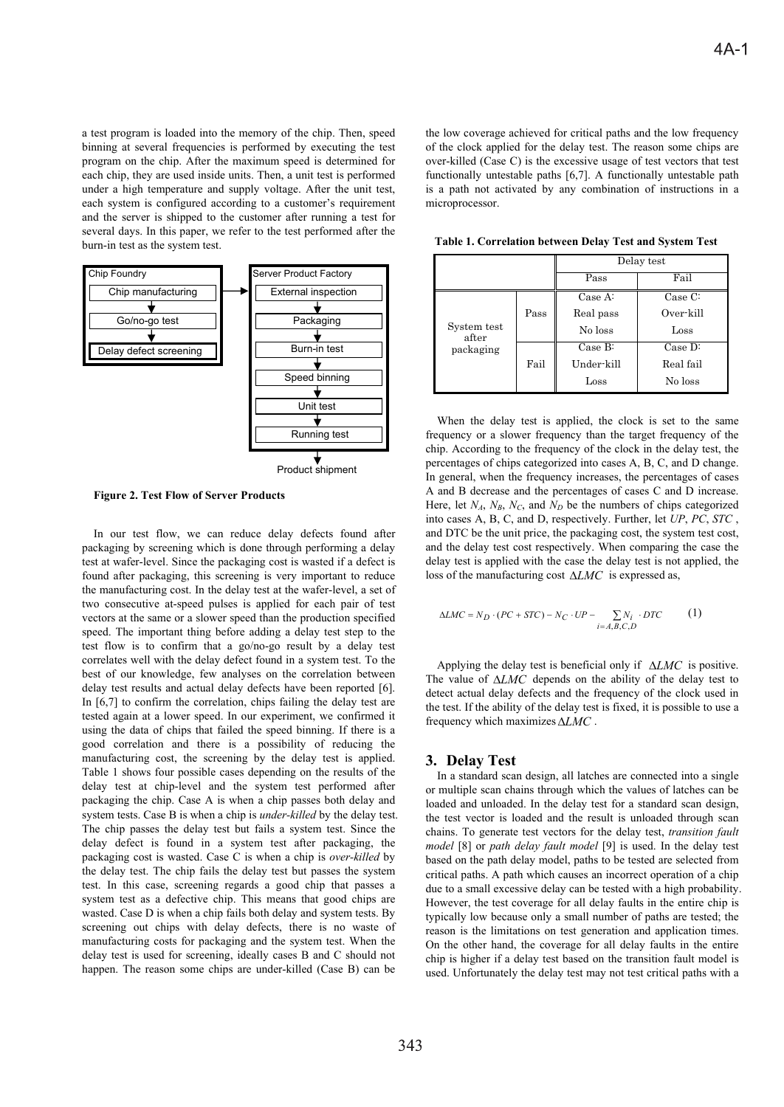a test program is loaded into the memory of the chip. Then, speed binning at several frequencies is performed by executing the test program on the chip. After the maximum speed is determined for each chip, they are used inside units. Then, a unit test is performed under a high temperature and supply voltage. After the unit test, each system is configured according to a customer's requirement and the server is shipped to the customer after running a test for several days. In this paper, we refer to the test performed after the burn-in test as the system test.



Product shipment

**Figure 2. Test Flow of Server Products** 

In our test flow, we can reduce delay defects found after packaging by screening which is done through performing a delay test at wafer-level. Since the packaging cost is wasted if a defect is found after packaging, this screening is very important to reduce the manufacturing cost. In the delay test at the wafer-level, a set of two consecutive at-speed pulses is applied for each pair of test vectors at the same or a slower speed than the production specified speed. The important thing before adding a delay test step to the test flow is to confirm that a go/no-go result by a delay test correlates well with the delay defect found in a system test. To the best of our knowledge, few analyses on the correlation between delay test results and actual delay defects have been reported [6]. In [6,7] to confirm the correlation, chips failing the delay test are tested again at a lower speed. In our experiment, we confirmed it using the data of chips that failed the speed binning. If there is a good correlation and there is a possibility of reducing the manufacturing cost, the screening by the delay test is applied. Table 1 shows four possible cases depending on the results of the delay test at chip-level and the system test performed after packaging the chip. Case A is when a chip passes both delay and system tests. Case B is when a chip is *under-killed* by the delay test. The chip passes the delay test but fails a system test. Since the delay defect is found in a system test after packaging, the packaging cost is wasted. Case C is when a chip is *over-killed* by the delay test. The chip fails the delay test but passes the system test. In this case, screening regards a good chip that passes a system test as a defective chip. This means that good chips are wasted. Case D is when a chip fails both delay and system tests. By screening out chips with delay defects, there is no waste of manufacturing costs for packaging and the system test. When the delay test is used for screening, ideally cases B and C should not happen. The reason some chips are under-killed (Case B) can be the low coverage achieved for critical paths and the low frequency of the clock applied for the delay test. The reason some chips are over-killed (Case C) is the excessive usage of test vectors that test functionally untestable paths [6,7]. A functionally untestable path is a path not activated by any combination of instructions in a microprocessor.

**Table 1. Correlation between Delay Test and System Test** 

|                                   |      | Delay test    |           |  |
|-----------------------------------|------|---------------|-----------|--|
|                                   |      | Pass          | Fail      |  |
|                                   |      | Case A.       | Case C:   |  |
| System test<br>after<br>packaging | Pass | Real pass     | Over-kill |  |
|                                   |      | No loss       | Loss      |  |
|                                   |      | Case B:       | Case D:   |  |
|                                   | Fail | Under-kill    | Real fail |  |
|                                   |      | $_{\rm Loss}$ | No loss   |  |

When the delay test is applied, the clock is set to the same frequency or a slower frequency than the target frequency of the chip. According to the frequency of the clock in the delay test, the percentages of chips categorized into cases A, B, C, and D change. In general, when the frequency increases, the percentages of cases A and B decrease and the percentages of cases C and D increase. Here, let  $N_A$ ,  $N_B$ ,  $N_C$ , and  $N_D$  be the numbers of chips categorized into cases A, B, C, and D, respectively. Further, let *UP*, *PC*, *STC* , and DTC be the unit price, the packaging cost, the system test cost, and the delay test cost respectively. When comparing the case the delay test is applied with the case the delay test is not applied, the loss of the manufacturing cost  $\triangle LMC$  is expressed as,

$$
\Delta LMC = N_D \cdot (PC + STC) - N_C \cdot UP - \sum_{i=A,B,C,D} N_i \cdot DTC \tag{1}
$$

Applying the delay test is beneficial only if  $\triangle LMC$  is positive. The value of  $\Delta LMC$  depends on the ability of the delay test to detect actual delay defects and the frequency of the clock used in the test. If the ability of the delay test is fixed, it is possible to use a frequency which maximizes  $\Delta LMC$  .

#### **3. Delay Test**

In a standard scan design, all latches are connected into a single or multiple scan chains through which the values of latches can be loaded and unloaded. In the delay test for a standard scan design, the test vector is loaded and the result is unloaded through scan chains. To generate test vectors for the delay test, *transition fault model* [8] or *path delay fault model* [9] is used. In the delay test based on the path delay model, paths to be tested are selected from critical paths. A path which causes an incorrect operation of a chip due to a small excessive delay can be tested with a high probability. However, the test coverage for all delay faults in the entire chip is typically low because only a small number of paths are tested; the reason is the limitations on test generation and application times. On the other hand, the coverage for all delay faults in the entire chip is higher if a delay test based on the transition fault model is used. Unfortunately the delay test may not test critical paths with a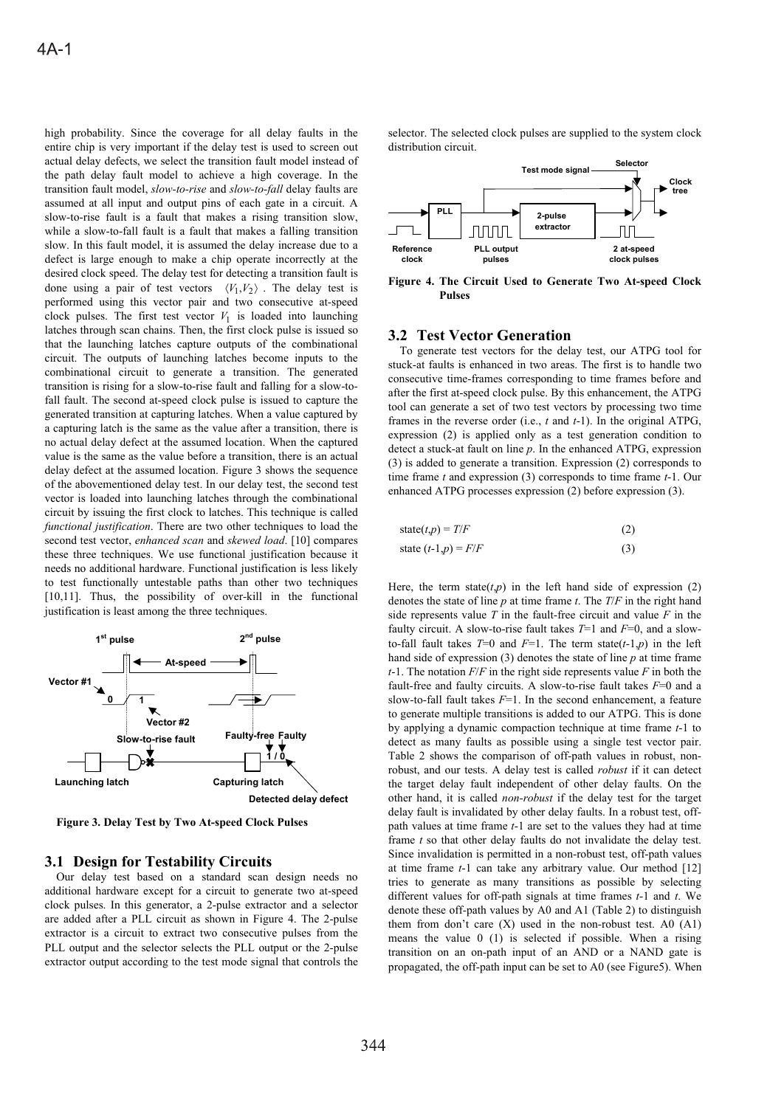high probability. Since the coverage for all delay faults in the entire chip is very important if the delay test is used to screen out actual delay defects, we select the transition fault model instead of the path delay fault model to achieve a high coverage. In the transition fault model, *slow-to-rise* and *slow-to-fall* delay faults are assumed at all input and output pins of each gate in a circuit. A slow-to-rise fault is a fault that makes a rising transition slow, while a slow-to-fall fault is a fault that makes a falling transition slow. In this fault model, it is assumed the delay increase due to a defect is large enough to make a chip operate incorrectly at the desired clock speed. The delay test for detecting a transition fault is done using a pair of test vectors  $\langle V_1, V_2 \rangle$ . The delay test is performed using this vector pair and two consecutive at-speed clock pulses. The first test vector  $V_1$  is loaded into launching latches through scan chains. Then, the first clock pulse is issued so that the launching latches capture outputs of the combinational circuit. The outputs of launching latches become inputs to the combinational circuit to generate a transition. The generated transition is rising for a slow-to-rise fault and falling for a slow-tofall fault. The second at-speed clock pulse is issued to capture the generated transition at capturing latches. When a value captured by a capturing latch is the same as the value after a transition, there is no actual delay defect at the assumed location. When the captured value is the same as the value before a transition, there is an actual delay defect at the assumed location. Figure 3 shows the sequence of the abovementioned delay test. In our delay test, the second test vector is loaded into launching latches through the combinational circuit by issuing the first clock to latches. This technique is called *functional justification*. There are two other techniques to load the second test vector, *enhanced scan* and *skewed load*. [10] compares these three techniques. We use functional justification because it needs no additional hardware. Functional justification is less likely to test functionally untestable paths than other two techniques [10,11]. Thus, the possibility of over-kill in the functional justification is least among the three techniques.



**Figure 3. Delay Test by Two At-speed Clock Pulses** 

#### **3.1 Design for Testability Circuits**

Our delay test based on a standard scan design needs no additional hardware except for a circuit to generate two at-speed clock pulses. In this generator, a 2-pulse extractor and a selector are added after a PLL circuit as shown in Figure 4. The 2-pulse extractor is a circuit to extract two consecutive pulses from the PLL output and the selector selects the PLL output or the 2-pulse extractor output according to the test mode signal that controls the selector. The selected clock pulses are supplied to the system clock distribution circuit.



**Figure 4. The Circuit Used to Generate Two At-speed Clock Pulses**

### **3.2 Test Vector Generation**

To generate test vectors for the delay test, our ATPG tool for stuck-at faults is enhanced in two areas. The first is to handle two consecutive time-frames corresponding to time frames before and after the first at-speed clock pulse. By this enhancement, the ATPG tool can generate a set of two test vectors by processing two time frames in the reverse order (i.e., *t* and *t*-1). In the original ATPG, expression (2) is applied only as a test generation condition to detect a stuck-at fault on line *p*. In the enhanced ATPG, expression (3) is added to generate a transition. Expression (2) corresponds to time frame *t* and expression (3) corresponds to time frame *t*-1. Our enhanced ATPG processes expression (2) before expression (3).

state
$$
(t, p) = T/F
$$
 (2)  
state  $(t-1, p) = F/F$  (3)

Here, the term state $(t, p)$  in the left hand side of expression (2) denotes the state of line *p* at time frame *t*. The *T*/*F* in the right hand side represents value *T* in the fault-free circuit and value *F* in the faulty circuit. A slow-to-rise fault takes  $T=1$  and  $F=0$ , and a slowto-fall fault takes  $T=0$  and  $F=1$ . The term state( $t-1$ , $p$ ) in the left hand side of expression (3) denotes the state of line *p* at time frame *t*-1. The notation *F*/*F* in the right side represents value *F* in both the fault-free and faulty circuits. A slow-to-rise fault takes *F*=0 and a slow-to-fall fault takes *F*=1. In the second enhancement, a feature to generate multiple transitions is added to our ATPG. This is done by applying a dynamic compaction technique at time frame *t*-1 to detect as many faults as possible using a single test vector pair. Table 2 shows the comparison of off-path values in robust, nonrobust, and our tests. A delay test is called *robust* if it can detect the target delay fault independent of other delay faults. On the other hand, it is called *non-robust* if the delay test for the target delay fault is invalidated by other delay faults. In a robust test, offpath values at time frame *t*-1 are set to the values they had at time frame *t* so that other delay faults do not invalidate the delay test. Since invalidation is permitted in a non-robust test, off-path values at time frame *t*-1 can take any arbitrary value. Our method [12] tries to generate as many transitions as possible by selecting different values for off-path signals at time frames *t*-1 and *t*. We denote these off-path values by A0 and A1 (Table 2) to distinguish them from don't care  $(X)$  used in the non-robust test. A0  $(A1)$ means the value 0 (1) is selected if possible. When a rising transition on an on-path input of an AND or a NAND gate is propagated, the off-path input can be set to A0 (see Figure5). When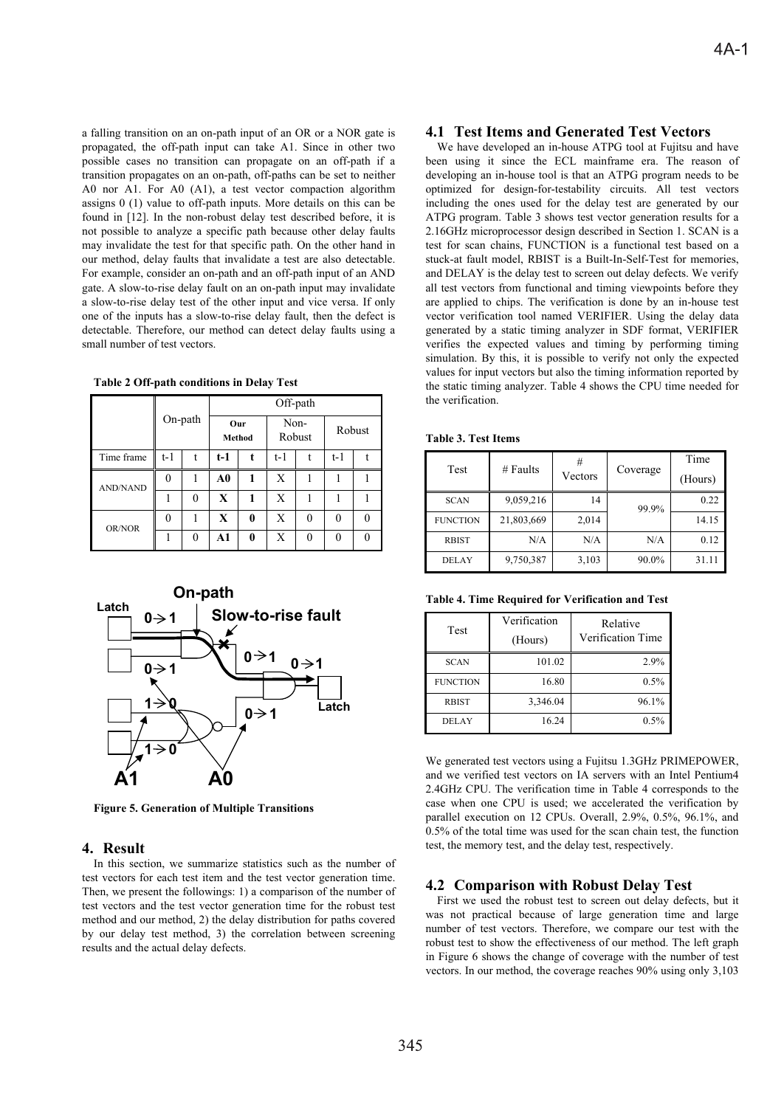a falling transition on an on-path input of an OR or a NOR gate is propagated, the off-path input can take A1. Since in other two possible cases no transition can propagate on an off-path if a transition propagates on an on-path, off-paths can be set to neither A0 nor A1. For A0 (A1), a test vector compaction algorithm assigns 0 (1) value to off-path inputs. More details on this can be found in [12]. In the non-robust delay test described before, it is not possible to analyze a specific path because other delay faults may invalidate the test for that specific path. On the other hand in our method, delay faults that invalidate a test are also detectable. For example, consider an on-path and an off-path input of an AND gate. A slow-to-rise delay fault on an on-path input may invalidate a slow-to-rise delay test of the other input and vice versa. If only one of the inputs has a slow-to-rise delay fault, then the defect is detectable. Therefore, our method can detect delay faults using a small number of test vectors.

**Table 2 Off-path conditions in Delay Test** 

|                 |          |         | Off-path      |   |                |   |          |   |
|-----------------|----------|---------|---------------|---|----------------|---|----------|---|
|                 |          | On-path | Our<br>Method |   | Non-<br>Robust |   | Robust   |   |
| Time frame      | t-1      | t       | $t-1$         | t | $t-1$          | t | $t-1$    |   |
| <b>AND/NAND</b> | 0        |         | A0            | 1 | X              |   |          |   |
|                 |          | 0       | X             | 1 | X              |   |          |   |
| OR/NOR          | $\Omega$ |         | X             | 0 | X              | 0 | $\Omega$ | 0 |
|                 |          | 0       | A1            | 0 | X              |   | 0        |   |



**Figure 5. Generation of Multiple Transitions** 

### **4. Result**

In this section, we summarize statistics such as the number of test vectors for each test item and the test vector generation time. Then, we present the followings: 1) a comparison of the number of test vectors and the test vector generation time for the robust test method and our method, 2) the delay distribution for paths covered by our delay test method, 3) the correlation between screening results and the actual delay defects.

# **4.1 Test Items and Generated Test Vectors**

We have developed an in-house ATPG tool at Fujitsu and have been using it since the ECL mainframe era. The reason of developing an in-house tool is that an ATPG program needs to be optimized for design-for-testability circuits. All test vectors including the ones used for the delay test are generated by our ATPG program. Table 3 shows test vector generation results for a 2.16GHz microprocessor design described in Section 1. SCAN is a test for scan chains, FUNCTION is a functional test based on a stuck-at fault model, RBIST is a Built-In-Self-Test for memories, and DELAY is the delay test to screen out delay defects. We verify all test vectors from functional and timing viewpoints before they are applied to chips. The verification is done by an in-house test vector verification tool named VERIFIER. Using the delay data generated by a static timing analyzer in SDF format, VERIFIER verifies the expected values and timing by performing timing simulation. By this, it is possible to verify not only the expected values for input vectors but also the timing information reported by the static timing analyzer. Table 4 shows the CPU time needed for the verification.

| Table 3. Test Items |  |
|---------------------|--|
|---------------------|--|

| Test            | $#$ Faults | #       | Coverage | Time    |
|-----------------|------------|---------|----------|---------|
|                 |            | Vectors |          | (Hours) |
| <b>SCAN</b>     | 9,059,216  | 14      | 99.9%    | 0.22    |
| <b>FUNCTION</b> | 21,803,669 | 2,014   |          | 14.15   |
| <b>RBIST</b>    | N/A        | N/A     | N/A      | 0.12    |
| <b>DELAY</b>    | 9,750,387  | 3,103   | 90.0%    | 31.11   |

**Table 4. Time Required for Verification and Test** 

| Test            | Verification<br>(Hours) | Relative<br>Verification Time |
|-----------------|-------------------------|-------------------------------|
| <b>SCAN</b>     | 101.02                  | 2.9%                          |
| <b>FUNCTION</b> | 16.80                   | 0.5%                          |
| <b>RBIST</b>    | 3,346.04                | 96.1%                         |
| <b>DELAY</b>    | 16.24                   | 0.5%                          |

We generated test vectors using a Fujitsu 1.3GHz PRIMEPOWER, and we verified test vectors on IA servers with an Intel Pentium4 2.4GHz CPU. The verification time in Table 4 corresponds to the case when one CPU is used; we accelerated the verification by parallel execution on 12 CPUs. Overall, 2.9%, 0.5%, 96.1%, and 0.5% of the total time was used for the scan chain test, the function test, the memory test, and the delay test, respectively.

### **4.2 Comparison with Robust Delay Test**

First we used the robust test to screen out delay defects, but it was not practical because of large generation time and large number of test vectors. Therefore, we compare our test with the robust test to show the effectiveness of our method. The left graph in Figure 6 shows the change of coverage with the number of test vectors. In our method, the coverage reaches 90% using only 3,103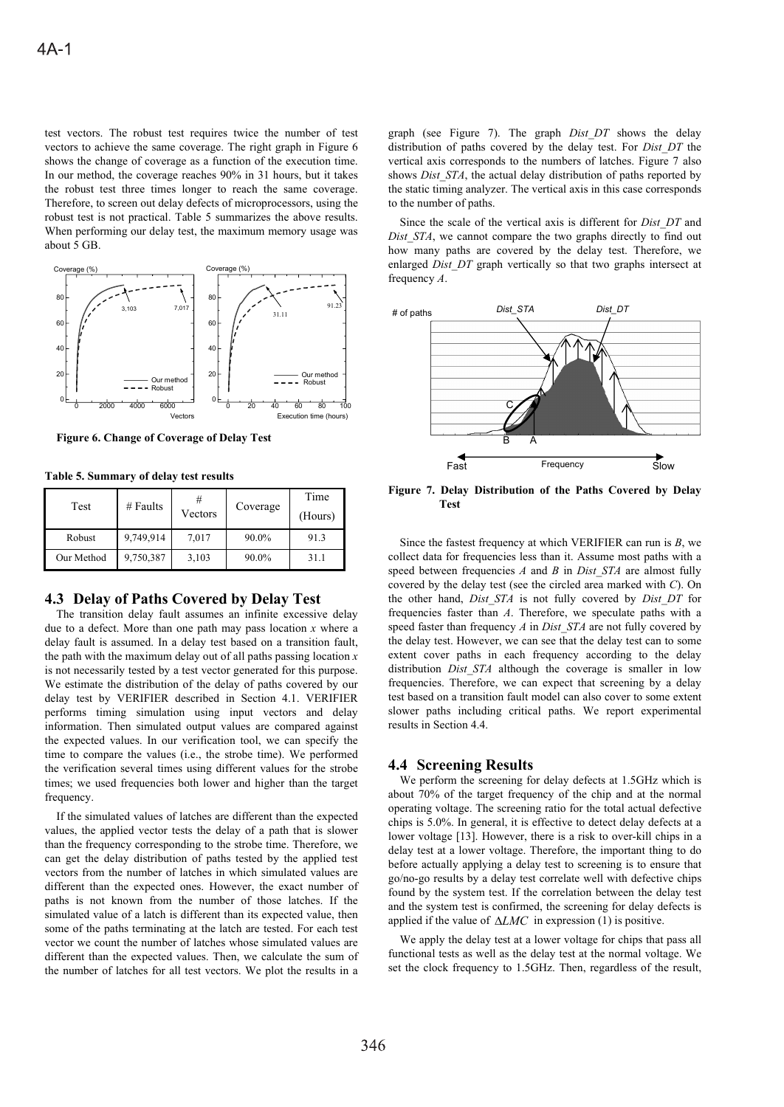test vectors. The robust test requires twice the number of test vectors to achieve the same coverage. The right graph in Figure 6 shows the change of coverage as a function of the execution time. In our method, the coverage reaches 90% in 31 hours, but it takes the robust test three times longer to reach the same coverage. Therefore, to screen out delay defects of microprocessors, using the robust test is not practical. Table 5 summarizes the above results. When performing our delay test, the maximum memory usage was about 5 GB.



**Figure 6. Change of Coverage of Delay Test** 

**Table 5. Summary of delay test results** 

| Test       | # Faults  | #       | Coverage | Time    |
|------------|-----------|---------|----------|---------|
|            |           | Vectors |          | (Hours) |
| Robust     | 9,749,914 | 7,017   | 90.0%    | 91.3    |
| Our Method | 9,750,387 | 3,103   | 90.0%    | 31.1    |

#### **4.3 Delay of Paths Covered by Delay Test**

The transition delay fault assumes an infinite excessive delay due to a defect. More than one path may pass location *x* where a delay fault is assumed. In a delay test based on a transition fault, the path with the maximum delay out of all paths passing location *x* is not necessarily tested by a test vector generated for this purpose. We estimate the distribution of the delay of paths covered by our delay test by VERIFIER described in Section 4.1. VERIFIER performs timing simulation using input vectors and delay information. Then simulated output values are compared against the expected values. In our verification tool, we can specify the time to compare the values (i.e., the strobe time). We performed the verification several times using different values for the strobe times; we used frequencies both lower and higher than the target frequency.

If the simulated values of latches are different than the expected values, the applied vector tests the delay of a path that is slower than the frequency corresponding to the strobe time. Therefore, we can get the delay distribution of paths tested by the applied test vectors from the number of latches in which simulated values are different than the expected ones. However, the exact number of paths is not known from the number of those latches. If the simulated value of a latch is different than its expected value, then some of the paths terminating at the latch are tested. For each test vector we count the number of latches whose simulated values are different than the expected values. Then, we calculate the sum of the number of latches for all test vectors. We plot the results in a

graph (see Figure 7). The graph *Dist\_DT* shows the delay distribution of paths covered by the delay test. For *Dist\_DT* the vertical axis corresponds to the numbers of latches. Figure 7 also shows *Dist STA*, the actual delay distribution of paths reported by the static timing analyzer. The vertical axis in this case corresponds to the number of paths.

Since the scale of the vertical axis is different for *Dist\_DT* and *Dist STA*, we cannot compare the two graphs directly to find out how many paths are covered by the delay test. Therefore, we enlarged *Dist DT* graph vertically so that two graphs intersect at frequency *A*.



**Figure 7. Delay Distribution of the Paths Covered by Delay Test**

Since the fastest frequency at which VERIFIER can run is *B*, we collect data for frequencies less than it. Assume most paths with a speed between frequencies *A* and *B* in *Dist\_STA* are almost fully covered by the delay test (see the circled area marked with *C*). On the other hand, *Dist\_STA* is not fully covered by *Dist\_DT* for frequencies faster than *A*. Therefore, we speculate paths with a speed faster than frequency *A* in *Dist\_STA* are not fully covered by the delay test. However, we can see that the delay test can to some extent cover paths in each frequency according to the delay distribution *Dist\_STA* although the coverage is smaller in low frequencies. Therefore, we can expect that screening by a delay test based on a transition fault model can also cover to some extent slower paths including critical paths. We report experimental results in Section 4.4.

#### **4.4 Screening Results**

We perform the screening for delay defects at 1.5GHz which is about 70% of the target frequency of the chip and at the normal operating voltage. The screening ratio for the total actual defective chips is 5.0%. In general, it is effective to detect delay defects at a lower voltage [13]. However, there is a risk to over-kill chips in a delay test at a lower voltage. Therefore, the important thing to do before actually applying a delay test to screening is to ensure that go/no-go results by a delay test correlate well with defective chips found by the system test. If the correlation between the delay test and the system test is confirmed, the screening for delay defects is applied if the value of  $\triangle LMC$  in expression (1) is positive.

We apply the delay test at a lower voltage for chips that pass all functional tests as well as the delay test at the normal voltage. We set the clock frequency to 1.5GHz. Then, regardless of the result,